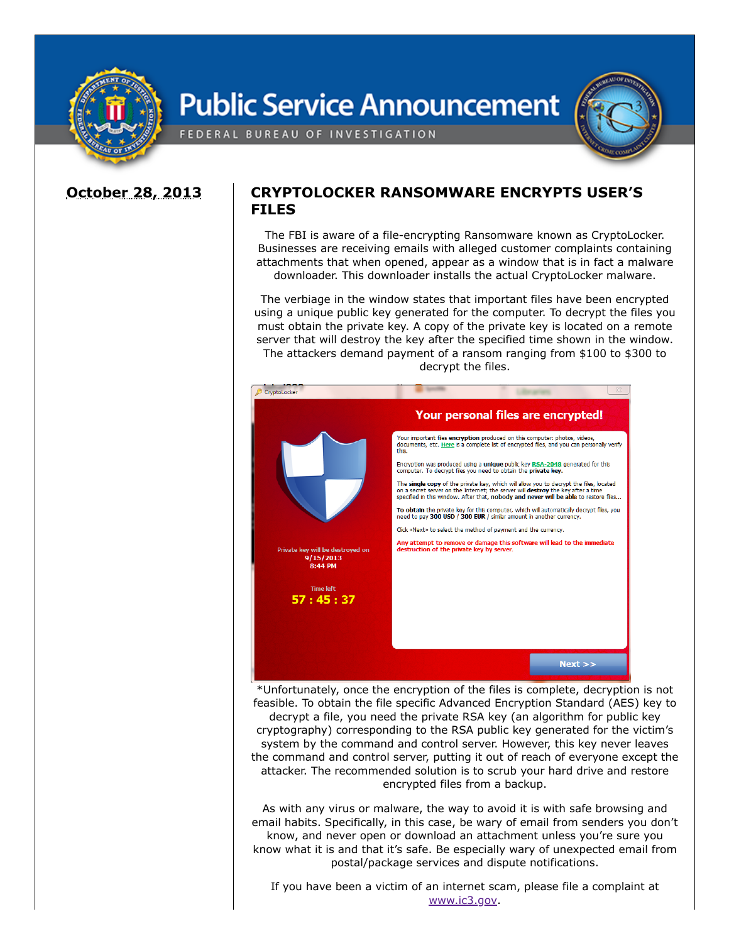

## **Public Service Announcement**



FEDERAL BUREAU OF INVESTIGATION

## **October 28, 2013 CRYPTOLOCKER RANSOMWARE ENCRYPTS USER'S FILES**

The FBI is aware of a file-encrypting Ransomware known as CryptoLocker. Businesses are receiving emails with alleged customer complaints containing attachments that when opened, appear as a window that is in fact a malware downloader. This downloader installs the actual CryptoLocker malware.

The verbiage in the window states that important files have been encrypted using a unique public key generated for the computer. To decrypt the files you must obtain the private key. A copy of the private key is located on a remote server that will destroy the key after the specified time shown in the window. The attackers demand payment of a ransom ranging from \$100 to \$300 to decrypt the files.



\*Unfortunately, once the encryption of the files is complete, decryption is not feasible. To obtain the file specific Advanced Encryption Standard (AES) key to decrypt a file, you need the private RSA key (an algorithm for public key cryptography) corresponding to the RSA public key generated for the victim's system by the command and control server. However, this key never leaves the command and control server, putting it out of reach of everyone except the attacker. The recommended solution is to scrub your hard drive and restore encrypted files from a backup.

As with any virus or malware, the way to avoid it is with safe browsing and email habits. Specifically, in this case, be wary of email from senders you don't know, and never open or download an attachment unless you're sure you know what it is and that it's safe. Be especially wary of unexpected email from postal/package services and dispute notifications.

If you have been a victim of an internet scam, please file a complaint at [www.ic3.gov.](https://www.ic3.gov/)